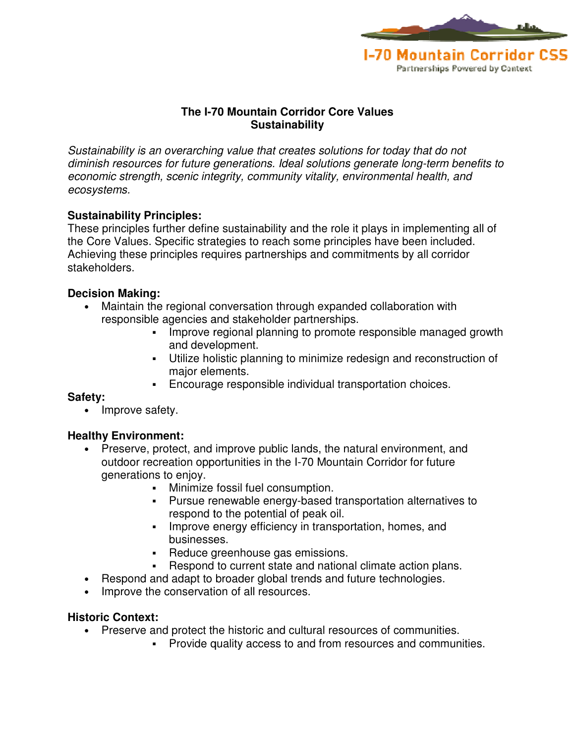

# **The I-70 Mountain Corridor Core Values 70 Mountain Corridor ValuesSustainability**

Sustainability is an overarching value that creates solutions for today that do not Sustainability is an overarching value that creates solutions for today that do not<br>diminish resources for future generations. Ideal solutions generate long-term benefits to economic strength, scenic integrity, community vitality, environmental health, and ecosystems.

## **Sustainability Principles:**

These principles further define sustainability and the role it plays in implementing all of the Core Values. Specific strategies to reach some principles have been included. Achieving these principles requires partnerships and commitments by all corridor stakeholders. In esources for future generations. Ideal solutions generate long-term benefits to<br>the strength, scenic integrity, community vitality, environmental health, and<br>principles.<br>The state effects effect of the state and brinch

## **Decision Making:**

- Maintain the regional conversation through expanded collaboration with responsible agencies and stakeholder partnerships. ain the regional conversation through expanded collaboration with<br>Improve regional planning to promote responsible managed growth and prove regional planning to promote responsible managed growth
	- and development. and development.
	- **Utilize holistic planning to minimize redesign and reconstruction of** major elements. major elements.
	- Encourage responsible individual transportation choices.

#### **Safety:**

• Improve safety.

#### **Healthy Environment:**

- Preserve, protect, and improve public lands, the natural environment, and outdoor recreation opportunities in the I-70 Mountain Corridor for future generations to enjoy. creation opportunities in the I-70 Mountain Corridor for future<br>is to enjoy.<br>• Minimize fossil fuel consumption.<br>• Pursue renewable energy-based transportation alternatives to Encourage responsible individual transportation choices.<br>y.<br>**nt:**<br>tect, and improve public lands, the natural environment, ar<br>ation opportunities in the I-70 Mountain Corridor for future
	- Minimize fossil fuel consumption.
	- respond to the potential of peak oil.
	- **Improve energy efficiency in transportation, homes, and** businesses. respond to the potential of peak oil.<br>Improve energy efficiency in transp<br>businesses.
	- Reduce greenhouse gas emissions.
	- Respond to current state and national climate action plans.
- Respond and adapt to broader global trends and future technologies.
- Improve the conservation of all resources.

#### **Historic Context:**

- Preserve and protect the historic and cultural resources of communities.
	- **Provide quality access to and from resources and communities.**